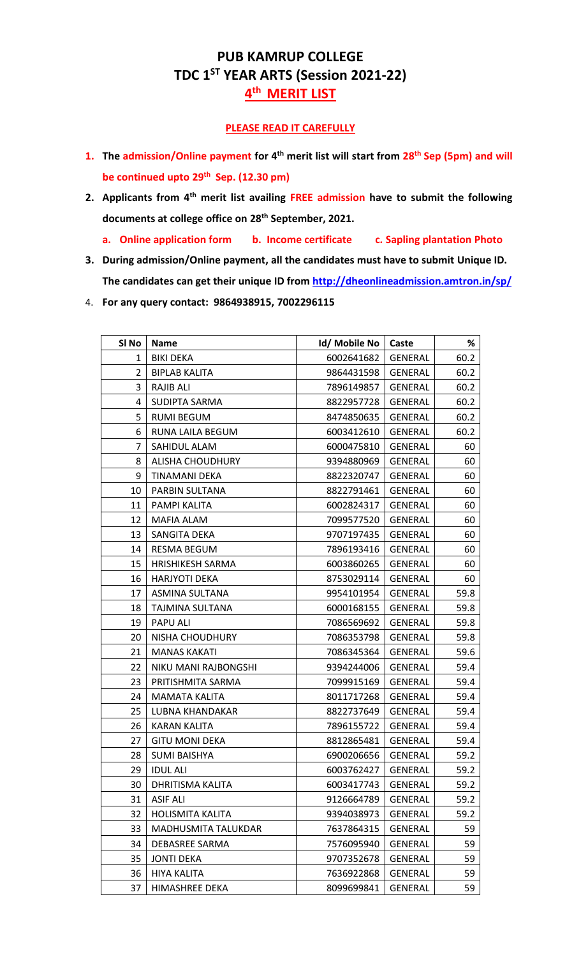## **PUB KAMRUP COLLEGE TDC 1ST YEAR ARTS (Session 2021-22) th MERIT LIST**

## **PLEASE READ IT CAREFULLY**

- **1.** The admission/Online payment for 4<sup>th</sup> merit list will start from 28<sup>th</sup> Sep (5pm) and will **be continued upto 29th Sep. (12.30 pm)**
- **2. Applicants from 4 th merit list availing FREE admission have to submit the following documents at college office on 28th September, 2021.**
	- **a. Online application form b. Income certificate c. Sapling plantation Photo**
- **3. During admission/Online payment, all the candidates must have to submit Unique ID. The candidates can get their unique ID from<http://dheonlineadmission.amtron.in/sp/>**
- 4. **For any query contact: 9864938915, 7002296115**

| SI No          | <b>Name</b>             | Id/ Mobile No        | Caste          | %    |
|----------------|-------------------------|----------------------|----------------|------|
| 1              | <b>BIKI DEKA</b>        | 6002641682           | GENERAL        | 60.2 |
| $\overline{2}$ | <b>BIPLAB KALITA</b>    | 9864431598           | GENERAL        | 60.2 |
| 3              | RAJIB ALI               | 7896149857           | GENERAL        | 60.2 |
| 4              | SUDIPTA SARMA           | 8822957728           | <b>GENERAL</b> | 60.2 |
| 5              | <b>RUMI BEGUM</b>       | 8474850635           | GENERAL        | 60.2 |
| 6              | RUNA LAILA BEGUM        | 6003412610           | <b>GENERAL</b> | 60.2 |
| 7              | SAHIDUL ALAM            | 6000475810           | GENERAL        | 60   |
| 8              | <b>ALISHA CHOUDHURY</b> | 9394880969           | <b>GENERAL</b> | 60   |
| 9              | TINAMANI DEKA           | 8822320747           | GENERAL        | 60   |
| 10             | PARBIN SULTANA          | 8822791461           | <b>GENERAL</b> | 60   |
| 11             | PAMPI KALITA            | 6002824317           | <b>GENERAL</b> | 60   |
| 12             | MAFIA ALAM              | 7099577520           | <b>GENERAL</b> | 60   |
| 13             | SANGITA DEKA            | 9707197435           | <b>GENERAL</b> | 60   |
| 14             | <b>RESMA BEGUM</b>      | 7896193416           | GENERAL        | 60   |
| 15             | <b>HRISHIKESH SARMA</b> | 6003860265           | GENERAL        | 60   |
| 16             | <b>HARJYOTI DEKA</b>    | 8753029114           | <b>GENERAL</b> | 60   |
| 17             | ASMINA SULTANA          | 9954101954           | GENERAL        | 59.8 |
| 18             | TAJMINA SULTANA         | 6000168155           | <b>GENERAL</b> | 59.8 |
| 19             | PAPU ALI                | 7086569692           | <b>GENERAL</b> | 59.8 |
| 20             | NISHA CHOUDHURY         | 7086353798           | GENERAL        | 59.8 |
| 21             | <b>MANAS KAKATI</b>     | 7086345364           | GENERAL        | 59.6 |
| 22             | NIKU MANI RAJBONGSHI    | 9394244006           | GENERAL        | 59.4 |
| 23             | PRITISHMITA SARMA       | 7099915169           | <b>GENERAL</b> | 59.4 |
| 24             | MAMATA KALITA           | 8011717268           | GENERAL        | 59.4 |
| 25             | LUBNA KHANDAKAR         | 8822737649           | GENERAL        | 59.4 |
| 26             | <b>KARAN KALITA</b>     | 7896155722           | GENERAL        | 59.4 |
| 27             | <b>GITU MONI DEKA</b>   | 8812865481           | GENERAL        | 59.4 |
| 28             | <b>SUMI BAISHYA</b>     | 6900206656   GENERAL |                | 59.2 |
| 29             | <b>IDUL ALI</b>         | 6003762427           | <b>GENERAL</b> | 59.2 |
| 30             | DHRITISMA KALITA        | 6003417743           | <b>GENERAL</b> | 59.2 |
| 31             | <b>ASIF ALI</b>         | 9126664789           | <b>GENERAL</b> | 59.2 |
| 32             | <b>HOLISMITA KALITA</b> | 9394038973           | <b>GENERAL</b> | 59.2 |
| 33             | MADHUSMITA TALUKDAR     | 7637864315           | <b>GENERAL</b> | 59   |
| 34             | DEBASREE SARMA          | 7576095940           | <b>GENERAL</b> | 59   |
| 35             | <b>JONTI DEKA</b>       | 9707352678           | <b>GENERAL</b> | 59   |
| 36             | <b>HIYA KALITA</b>      | 7636922868           | <b>GENERAL</b> | 59   |
| 37             | HIMASHREE DEKA          | 8099699841           | <b>GENERAL</b> | 59   |